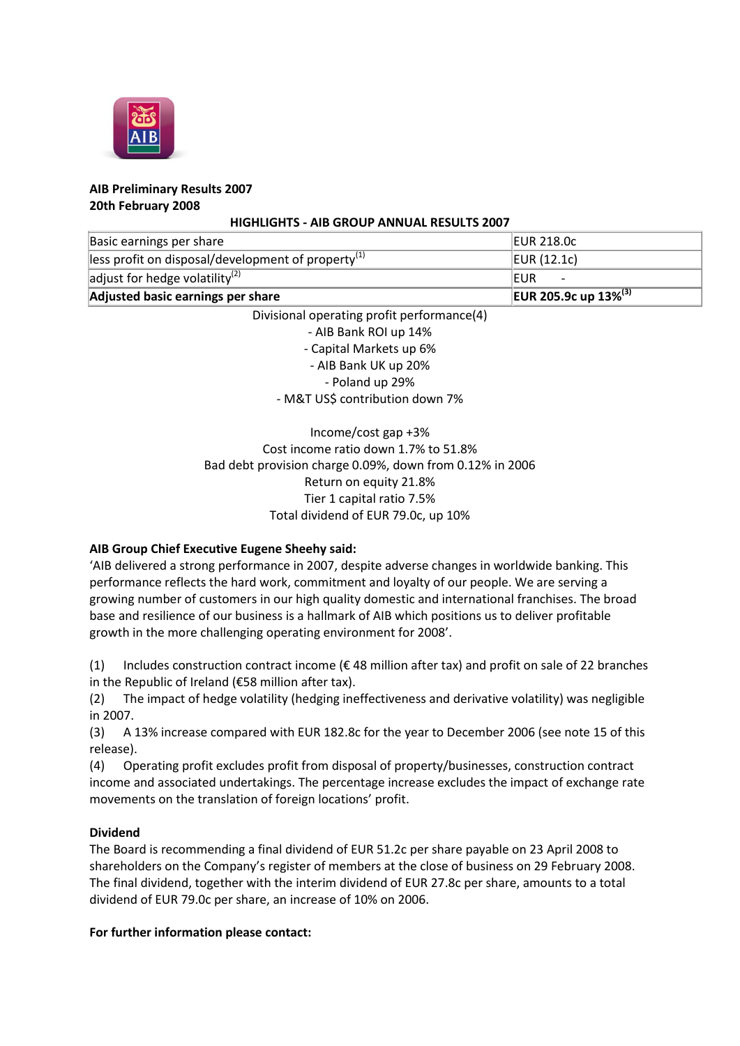

### **AIB Preliminary Results 2007 20th February 2008**

### **HIGHLIGHTS - AIB GROUP ANNUAL RESULTS 2007**

| Basic earnings per share                               | <b>EUR 218.0c</b>                       |
|--------------------------------------------------------|-----------------------------------------|
| lless profit on disposal/development of property $(1)$ | EUR $(12.1c)$                           |
| adjust for hedge volatility <sup>(2)</sup>             | <b>IEUR</b>                             |
| Adjusted basic earnings per share                      | <b>EUR 205.9c up 13%</b> <sup>(3)</sup> |

Divisional operating profit performance(4) - AIB Bank ROI up 14% - Capital Markets up 6% - AIB Bank UK up 20% - Poland up 29% - M&T US\$ contribution down 7%

# Income/cost gap +3% Cost income ratio down 1.7% to 51.8% Bad debt provision charge 0.09%, down from 0.12% in 2006 Return on equity 21.8% Tier 1 capital ratio 7.5% Total dividend of EUR 79.0c, up 10%

## **AIB Group Chief Executive Eugene Sheehy said:**

'AIB delivered a strong performance in 2007, despite adverse changes in worldwide banking. This performance reflects the hard work, commitment and loyalty of our people. We are serving a growing number of customers in our high quality domestic and international franchises. The broad base and resilience of our business is a hallmark of AIB which positions us to deliver profitable growth in the more challenging operating environment for 2008'.

(1) Includes construction contract income ( $\epsilon$  48 million after tax) and profit on sale of 22 branches in the Republic of Ireland (€58 million after tax).

(2) The impact of hedge volatility (hedging ineffectiveness and derivative volatility) was negligible in 2007.

(3) A 13% increase compared with EUR 182.8c for the year to December 2006 (see note 15 of this release).

(4) Operating profit excludes profit from disposal of property/businesses, construction contract income and associated undertakings. The percentage increase excludes the impact of exchange rate movements on the translation of foreign locations' profit.

### **Dividend**

The Board is recommending a final dividend of EUR 51.2c per share payable on 23 April 2008 to shareholders on the Company's register of members at the close of business on 29 February 2008. The final dividend, together with the interim dividend of EUR 27.8c per share, amounts to a total dividend of EUR 79.0c per share, an increase of 10% on 2006.

### **For further information please contact:**